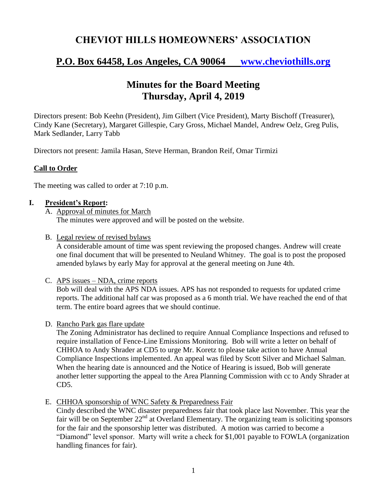## **CHEVIOT HILLS HOMEOWNERS' ASSOCIATION**

# **P.O. Box 64458, Los Angeles, CA 90064 [www.cheviothills.org](http://www.cheviothills.org/)**

## **Minutes for the Board Meeting Thursday, April 4, 2019**

Directors present: Bob Keehn (President), Jim Gilbert (Vice President), Marty Bischoff (Treasurer), Cindy Kane (Secretary), Margaret Gillespie, Cary Gross, Michael Mandel, Andrew Oelz, Greg Pulis, Mark Sedlander, Larry Tabb

Directors not present: Jamila Hasan, Steve Herman, Brandon Reif, Omar Tirmizi

### **Call to Order**

The meeting was called to order at 7:10 p.m.

### **I. President's Report:**

- A. Approval of minutes for March The minutes were approved and will be posted on the website.
- B. Legal review of revised bylaws

A considerable amount of time was spent reviewing the proposed changes. Andrew will create one final document that will be presented to Neuland Whitney. The goal is to post the proposed amended bylaws by early May for approval at the general meeting on June 4th.

C. APS issues – NDA, crime reports

Bob will deal with the APS NDA issues. APS has not responded to requests for updated crime reports. The additional half car was proposed as a 6 month trial. We have reached the end of that term. The entire board agrees that we should continue.

D. Rancho Park gas flare update

The Zoning Administrator has declined to require Annual Compliance Inspections and refused to require installation of Fence-Line Emissions Monitoring. Bob will write a letter on behalf of CHHOA to Andy Shrader at CD5 to urge Mr. Koretz to please take action to have Annual Compliance Inspections implemented. An appeal was filed by Scott Silver and Michael Salman. When the hearing date is announced and the Notice of Hearing is issued, Bob will generate another letter supporting the appeal to the Area Planning Commission with cc to Andy Shrader at CD5.

E. CHHOA sponsorship of WNC Safety & Preparedness Fair

Cindy described the WNC disaster preparedness fair that took place last November. This year the fair will be on September  $22<sup>nd</sup>$  at Overland Elementary. The organizing team is soliciting sponsors for the fair and the sponsorship letter was distributed. A motion was carried to become a "Diamond" level sponsor. Marty will write a check for \$1,001 payable to FOWLA (organization handling finances for fair).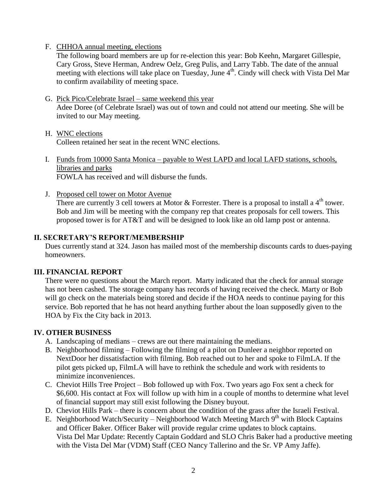F. CHHOA annual meeting, elections

The following board members are up for re-election this year: Bob Keehn, Margaret Gillespie, Cary Gross, Steve Herman, Andrew Oelz, Greg Pulis, and Larry Tabb. The date of the annual meeting with elections will take place on Tuesday, June  $4<sup>th</sup>$ . Cindy will check with Vista Del Mar to confirm availability of meeting space.

- G. Pick Pico/Celebrate Israel same weekend this year Adee Doree (of Celebrate Israel) was out of town and could not attend our meeting. She will be invited to our May meeting.
- H. WNC elections Colleen retained her seat in the recent WNC elections.
- I. Funds from 10000 Santa Monica payable to West LAPD and local LAFD stations, schools, libraries and parks FOWLA has received and will disburse the funds.
- J. Proposed cell tower on Motor Avenue

There are currently 3 cell towers at Motor & Forrester. There is a proposal to install a 4<sup>th</sup> tower. Bob and Jim will be meeting with the company rep that creates proposals for cell towers. This proposed tower is for AT&T and will be designed to look like an old lamp post or antenna.

#### **II. SECRETARY'S REPORT/MEMBERSHIP**

Dues currently stand at 324. Jason has mailed most of the membership discounts cards to dues-paying homeowners.

#### **III. FINANCIAL REPORT**

There were no questions about the March report. Marty indicated that the check for annual storage has not been cashed. The storage company has records of having received the check. Marty or Bob will go check on the materials being stored and decide if the HOA needs to continue paying for this service. Bob reported that he has not heard anything further about the loan supposedly given to the HOA by Fix the City back in 2013.

#### **IV. OTHER BUSINESS**

- A. Landscaping of medians crews are out there maintaining the medians.
- B. Neighborhood filming Following the filming of a pilot on Dunleer a neighbor reported on NextDoor her dissatisfaction with filming. Bob reached out to her and spoke to FilmLA. If the pilot gets picked up, FilmLA will have to rethink the schedule and work with residents to minimize inconveniences.
- C. Cheviot Hills Tree Project Bob followed up with Fox. Two years ago Fox sent a check for \$6,600. His contact at Fox will follow up with him in a couple of months to determine what level of financial support may still exist following the Disney buyout.
- D. Cheviot Hills Park there is concern about the condition of the grass after the Israeli Festival.
- E. Neighborhood Watch/Security Neighborhood Watch Meeting March 9<sup>th</sup> with Block Captains and Officer Baker. Officer Baker will provide regular crime updates to block captains. Vista Del Mar Update: Recently Captain Goddard and SLO Chris Baker had a productive meeting with the Vista Del Mar (VDM) Staff (CEO Nancy Tallerino and the Sr. VP Amy Jaffe).